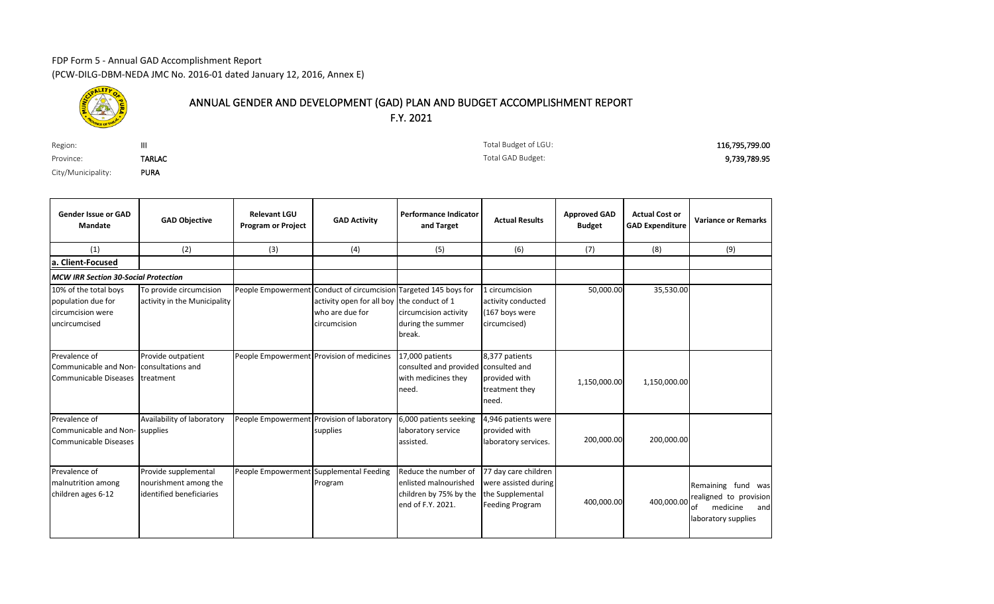## FDP Form 5 - Annual GAD Accomplishment Report (PCW-DILG-DBM-NEDA JMC No. 2016-01 dated January 12, 2016, Annex E)



## ANNUAL GENDER AND DEVELOPMENT (GAD) PLAN AND BUDGET ACCOMPLISHMENT REPORT F.Y. 2021

| Region:            |               | Total Budget of LGU: | 116,795,799.00 |
|--------------------|---------------|----------------------|----------------|
| Province:          | <b>TARLAC</b> | Total GAD Budget:    | 9,739,789.95   |
| City/Municipality: | <b>PURA</b>   |                      |                |

Total Budget of LGU: Total GAD Budget:

| <b>Gender Issue or GAD</b><br><b>Mandate</b>                                      | <b>GAD Objective</b>                                                      | <b>Relevant LGU</b><br><b>Program or Project</b> | <b>GAD Activity</b>                                                                                                                               | <b>Performance Indicator</b><br>and Target                                                   | <b>Actual Results</b>                                                                      | <b>Approved GAD</b><br><b>Budget</b> | <b>Actual Cost or</b><br><b>GAD Expenditure</b> | <b>Variance or Remarks</b>                                                                   |
|-----------------------------------------------------------------------------------|---------------------------------------------------------------------------|--------------------------------------------------|---------------------------------------------------------------------------------------------------------------------------------------------------|----------------------------------------------------------------------------------------------|--------------------------------------------------------------------------------------------|--------------------------------------|-------------------------------------------------|----------------------------------------------------------------------------------------------|
| (1)                                                                               | (2)                                                                       | (3)                                              | (4)                                                                                                                                               | (5)                                                                                          | (6)                                                                                        | (7)                                  | (8)                                             | (9)                                                                                          |
| a. Client-Focused                                                                 |                                                                           |                                                  |                                                                                                                                                   |                                                                                              |                                                                                            |                                      |                                                 |                                                                                              |
| <b>MCW IRR Section 30-Social Protection</b>                                       |                                                                           |                                                  |                                                                                                                                                   |                                                                                              |                                                                                            |                                      |                                                 |                                                                                              |
| 10% of the total boys<br>population due for<br>circumcision were<br>uncircumcised | To provide circumcision<br>activity in the Municipality                   |                                                  | People Empowerment Conduct of circumcision Targeted 145 boys for<br>activity open for all boy the conduct of 1<br>who are due for<br>circumcision | circumcision activity<br>during the summer<br>break.                                         | 1 circumcision<br>activity conducted<br>(167 boys were<br>circumcised)                     | 50,000.00                            | 35,530.00                                       |                                                                                              |
| Prevalence of<br>Communicable and Non-<br>Communicable Diseases                   | Provide outpatient<br>consultations and<br>treatment                      |                                                  | People Empowerment Provision of medicines                                                                                                         | 17,000 patients<br>consulted and provided consulted and<br>with medicines they<br>need.      | 8,377 patients<br>provided with<br>treatment they<br>need.                                 | 1,150,000.00                         | 1,150,000.00                                    |                                                                                              |
| Prevalence of<br>Communicable and Non-Supplies<br><b>Communicable Diseases</b>    | Availability of laboratory                                                |                                                  | People Empowerment Provision of laboratory<br>supplies                                                                                            | 6,000 patients seeking<br>laboratory service<br>assisted.                                    | 4,946 patients were<br>provided with<br>laboratory services.                               | 200,000.00                           | 200,000.00                                      |                                                                                              |
| Prevalence of<br>malnutrition among<br>children ages 6-12                         | Provide supplemental<br>nourishment among the<br>identified beneficiaries |                                                  | People Empowerment Supplemental Feeding<br>Program                                                                                                | Reduce the number of<br>enlisted malnourished<br>children by 75% by the<br>end of F.Y. 2021. | 77 day care children<br>were assisted during<br>the Supplemental<br><b>Feeding Program</b> | 400,000.00                           | 400,000.00                                      | Remaining fund was<br>realigned to provision<br>of<br>medicine<br>and<br>laboratory supplies |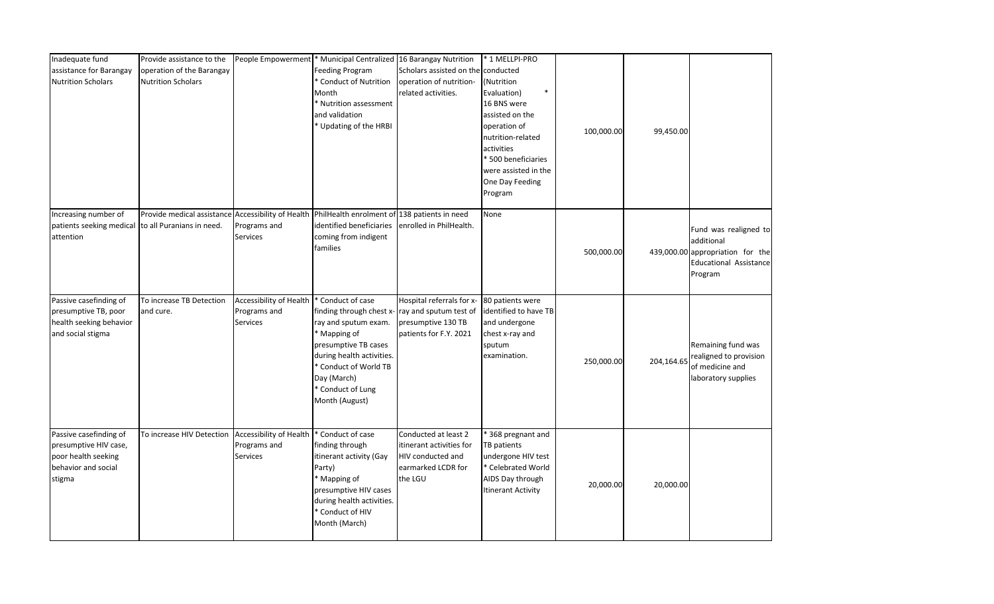| Inadequate fund<br>assistance for Barangay<br><b>Nutrition Scholars</b>                                 | Provide assistance to the<br>operation of the Barangay<br><b>Nutrition Scholars</b>                                          |                                                            | People Empowerment * Municipal Centralized 16 Barangay Nutrition<br>Feeding Program<br>* Conduct of Nutrition<br>Month<br>* Nutrition assessment<br>and validation<br>* Updating of the HRBI                              | Scholars assisted on the conducted<br>operation of nutrition-<br>related activities.                   | * 1 MELLPI-PRO<br>(Nutrition<br>$\ast$<br>Evaluation)<br>16 BNS were<br>assisted on the<br>operation of<br>nutrition-related<br>activities<br>* 500 beneficiaries<br>were assisted in the<br>One Day Feeding<br>Program | 100,000.00 | 99,450.00  |                                                                                                                     |
|---------------------------------------------------------------------------------------------------------|------------------------------------------------------------------------------------------------------------------------------|------------------------------------------------------------|---------------------------------------------------------------------------------------------------------------------------------------------------------------------------------------------------------------------------|--------------------------------------------------------------------------------------------------------|-------------------------------------------------------------------------------------------------------------------------------------------------------------------------------------------------------------------------|------------|------------|---------------------------------------------------------------------------------------------------------------------|
| Increasing number of<br>patients seeking medical<br>attention                                           | Provide medical assistance Accessibility of Health PhilHealth enrolment of 138 patients in need<br>to all Puranians in need. | Programs and<br><b>Services</b>                            | identified beneficiaries<br>coming from indigent<br>families                                                                                                                                                              | enrolled in PhilHealth.                                                                                | None                                                                                                                                                                                                                    | 500,000.00 |            | Fund was realigned to<br>additional<br>439,000.00 appropriation for the<br><b>Educational Assistance</b><br>Program |
| Passive casefinding of<br>presumptive TB, poor<br>health seeking behavior<br>and social stigma          | To increase TB Detection<br>and cure.                                                                                        | Accessibility of Health<br>Programs and<br>Services        | * Conduct of case<br>finding through chest x-<br>ray and sputum exam.<br>* Mapping of<br>presumptive TB cases<br>during health activities.<br>* Conduct of World TB<br>Day (March)<br>* Conduct of Lung<br>Month (August) | Hospital referrals for x-<br>ray and sputum test of<br>presumptive 130 TB<br>patients for F.Y. 2021    | 80 patients were<br>identified to have TB<br>and undergone<br>chest x-ray and<br>sputum<br>examination.                                                                                                                 | 250,000.00 | 204,164.65 | Remaining fund was<br>realigned to provision<br>of medicine and<br>laboratory supplies                              |
| Passive casefinding of<br>presumptive HIV case,<br>poor health seeking<br>behavior and social<br>stigma | To increase HIV Detection                                                                                                    | Accessibility of Health<br>Programs and<br><b>Services</b> | * Conduct of case<br>finding through<br>itinerant activity (Gay<br>Party)<br>* Mapping of<br>presumptive HIV cases<br>during health activities.<br>* Conduct of HIV<br>Month (March)                                      | Conducted at least 2<br>itinerant activities for<br>HIV conducted and<br>earmarked LCDR for<br>the LGU | 368 pregnant and<br>TB patients<br>undergone HIV test<br>* Celebrated World<br>AIDS Day through<br><b>Itinerant Activity</b>                                                                                            | 20,000.00  | 20,000.00  |                                                                                                                     |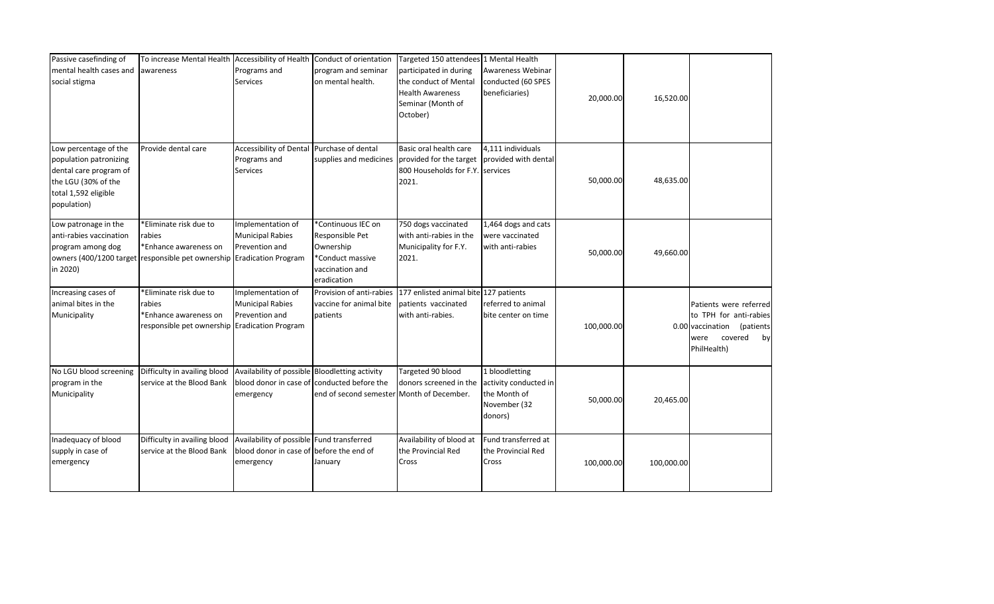| Passive casefinding of<br>mental health cases and<br>social stigma                                                                      | To increase Mental Health Accessibility of Health<br>awareness                                                                     | Programs and<br><b>Services</b>                                                                    | Conduct of orientation<br>program and seminar<br>on mental health.                                       | Targeted 150 attendees 1 Mental Health<br>participated in during<br>the conduct of Mental<br><b>Health Awareness</b><br>Seminar (Month of<br>October) | Awareness Webinar<br>conducted (60 SPES<br>beneficiaries)                          | 20,000.00  | 16,520.00  |                                                                                                                     |
|-----------------------------------------------------------------------------------------------------------------------------------------|------------------------------------------------------------------------------------------------------------------------------------|----------------------------------------------------------------------------------------------------|----------------------------------------------------------------------------------------------------------|-------------------------------------------------------------------------------------------------------------------------------------------------------|------------------------------------------------------------------------------------|------------|------------|---------------------------------------------------------------------------------------------------------------------|
| Low percentage of the<br>population patronizing<br>dental care program of<br>the LGU (30% of the<br>total 1,592 eligible<br>population) | Provide dental care                                                                                                                | Accessibility of Dental<br>Programs and<br><b>Services</b>                                         | Purchase of dental<br>supplies and medicines                                                             | Basic oral health care<br>provided for the target<br>800 Households for F.Y. Services<br>2021.                                                        | 4,111 individuals<br>provided with dental                                          | 50,000.00  | 48,635.00  |                                                                                                                     |
| Low patronage in the<br>anti-rabies vaccination<br>program among dog<br>in 2020)                                                        | *Eliminate risk due to<br>rabies<br>*Enhance awareness on<br>owners (400/1200 target responsible pet ownership Eradication Program | Implementation of<br><b>Municipal Rabies</b><br>Prevention and                                     | *Continuous IEC on<br>Responsible Pet<br>Ownership<br>*Conduct massive<br>vaccination and<br>eradication | 750 dogs vaccinated<br>with anti-rabies in the<br>Municipality for F.Y.<br>2021.                                                                      | 1,464 dogs and cats<br>were vaccinated<br>with anti-rabies                         | 50,000.00  | 49,660.00  |                                                                                                                     |
| Increasing cases of<br>animal bites in the<br>Municipality                                                                              | *Eliminate risk due to<br>rabies<br>*Enhance awareness on<br>responsible pet ownership Eradication Program                         | Implementation of<br><b>Municipal Rabies</b><br>Prevention and                                     | Provision of anti-rabies<br>vaccine for animal bite<br>patients                                          | 177 enlisted animal bite 127 patients<br>patients vaccinated<br>with anti-rabies.                                                                     | referred to animal<br>bite center on time                                          | 100,000.00 |            | Patients were referred<br>to TPH for anti-rabies<br>0.00 vaccination (patients<br>covered by<br>were<br>PhilHealth) |
| No LGU blood screening<br>program in the<br>Municipality                                                                                | Difficulty in availing blood<br>service at the Blood Bank                                                                          | Availability of possible Bloodletting activity<br>emergency                                        | blood donor in case of conducted before the<br>end of second semester                                    | Targeted 90 blood<br>donors screened in the<br>Month of December.                                                                                     | 1 bloodletting<br>activity conducted in<br>the Month of<br>November (32<br>donors) | 50,000.00  | 20,465.00  |                                                                                                                     |
| Inadequacy of blood<br>supply in case of<br>emergency                                                                                   | Difficulty in availing blood<br>service at the Blood Bank                                                                          | Availability of possible Fund transferred<br>blood donor in case of before the end of<br>emergency | January                                                                                                  | Availability of blood at<br>the Provincial Red<br>Cross                                                                                               | Fund transferred at<br>the Provincial Red<br>Cross                                 | 100,000.00 | 100,000.00 |                                                                                                                     |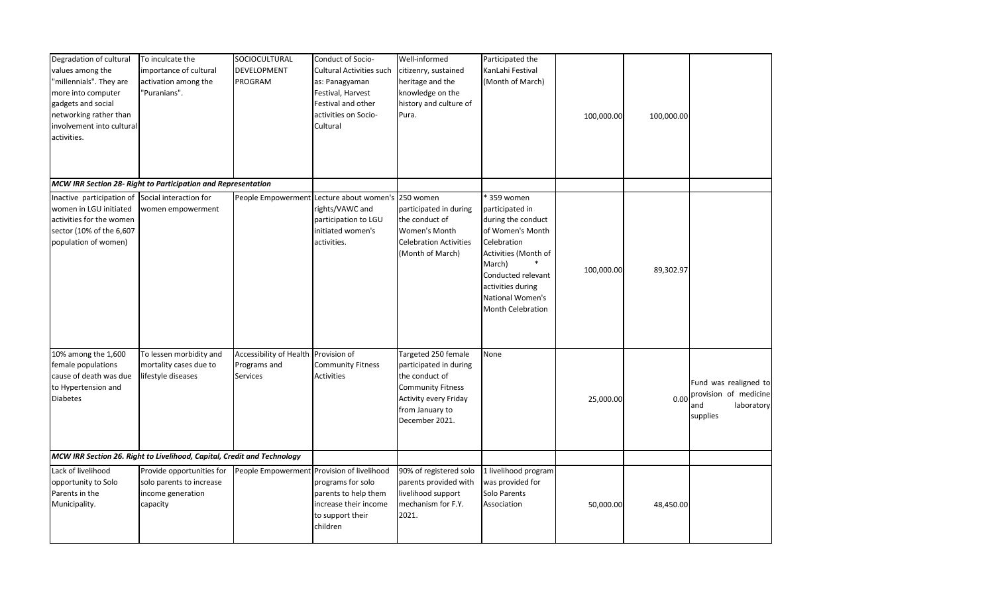| Degradation of cultural<br>values among the<br>"millennials". They are<br>more into computer<br>gadgets and social<br>networking rather than<br>involvement into cultural<br>activities. | To inculcate the<br>importance of cultural<br>activation among the<br>'Puranians".     | SOCIOCULTURAL<br><b>DEVELOPMENT</b><br><b>PROGRAM</b>                   | Conduct of Socio-<br>Cultural Activities such<br>as: Panagyaman<br>Festival, Harvest<br>Festival and other<br>activities on Socio-<br>Cultural | Well-informed<br>citizenry, sustained<br>heritage and the<br>knowledge on the<br>history and culture of<br>Pura.                                          | Participated the<br>KanLahi Festival<br>(Month of March)                                                                                                                                                             | 100,000.00 | 100,000.00 |                                                                                 |
|------------------------------------------------------------------------------------------------------------------------------------------------------------------------------------------|----------------------------------------------------------------------------------------|-------------------------------------------------------------------------|------------------------------------------------------------------------------------------------------------------------------------------------|-----------------------------------------------------------------------------------------------------------------------------------------------------------|----------------------------------------------------------------------------------------------------------------------------------------------------------------------------------------------------------------------|------------|------------|---------------------------------------------------------------------------------|
|                                                                                                                                                                                          | MCW IRR Section 28- Right to Participation and Representation                          |                                                                         |                                                                                                                                                |                                                                                                                                                           |                                                                                                                                                                                                                      |            |            |                                                                                 |
| Inactive participation of Social interaction for<br>women in LGU initiated<br>activities for the women<br>sector (10% of the 6,607<br>population of women)                               | women empowerment                                                                      |                                                                         | People Empowerment Lecture about women's<br>rights/VAWC and<br>participation to LGU<br>initiated women's<br>activities.                        | 250 women<br>participated in during<br>the conduct of<br>Women's Month<br><b>Celebration Activities</b><br>(Month of March)                               | * 359 women<br>participated in<br>during the conduct<br>of Women's Month<br>Celebration<br>Activities (Month of<br>March)<br>Conducted relevant<br>activities during<br>National Women's<br><b>Month Celebration</b> | 100,000.00 | 89,302.97  |                                                                                 |
| 10% among the 1,600<br>female populations<br>cause of death was due<br>to Hypertension and<br><b>Diabetes</b>                                                                            | To lessen morbidity and<br>mortality cases due to<br>lifestyle diseases                | Accessibility of Health Provision of<br>Programs and<br><b>Services</b> | <b>Community Fitness</b><br><b>Activities</b>                                                                                                  | Targeted 250 female<br>participated in during<br>the conduct of<br><b>Community Fitness</b><br>Activity every Friday<br>from January to<br>December 2021. | None                                                                                                                                                                                                                 | 25,000.00  | 0.00       | Fund was realigned to<br>provision of medicine<br>and<br>laboratory<br>supplies |
|                                                                                                                                                                                          | MCW IRR Section 26. Right to Livelihood, Capital, Credit and Technology                |                                                                         |                                                                                                                                                |                                                                                                                                                           |                                                                                                                                                                                                                      |            |            |                                                                                 |
| Lack of livelihood<br>opportunity to Solo<br>Parents in the<br>Municipality.                                                                                                             | Provide opportunities for<br>solo parents to increase<br>income generation<br>capacity | People Empowerment Provision of livelihood                              | programs for solo<br>parents to help them<br>increase their income<br>to support their<br>children                                             | 90% of registered solo<br>parents provided with<br>livelihood support<br>mechanism for F.Y.<br>2021.                                                      | 1 livelihood program<br>was provided for<br>Solo Parents<br>Association                                                                                                                                              | 50,000.00  | 48,450.00  |                                                                                 |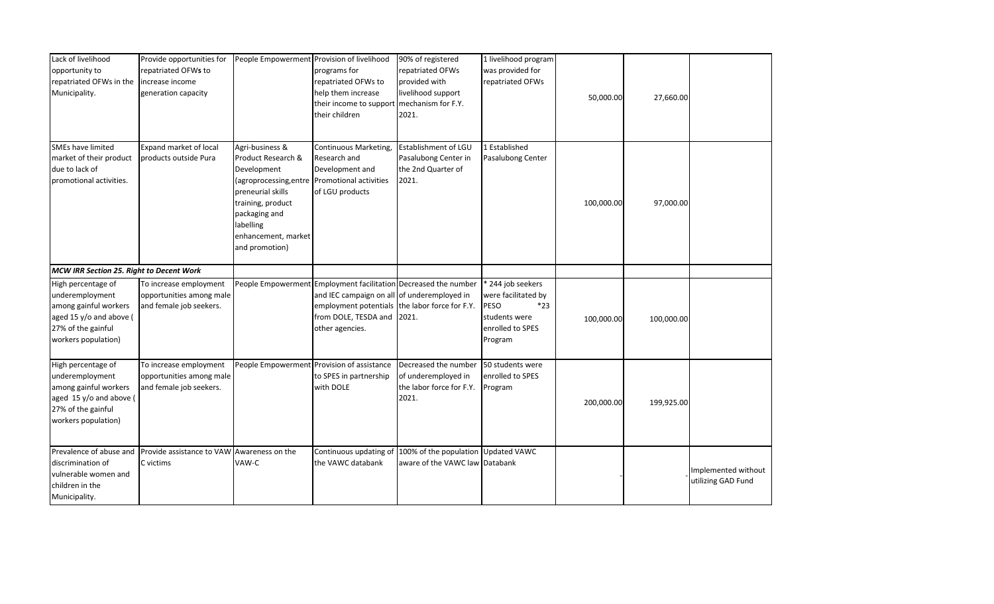| Lack of livelihood<br>opportunity to<br>repatriated OFWs in the<br>Municipality.                                                       | Provide opportunities for<br>repatriated OFWs to<br>increase income<br>generation capacity |                                                                                                                                                                                                 | People Empowerment Provision of livelihood<br>programs for<br>repatriated OFWs to<br>help them increase<br>their income to support<br>their children                               | 90% of registered<br>repatriated OFWs<br>provided with<br>livelihood support<br>mechanism for F.Y.<br>2021. | 1 livelihood program<br>was provided for<br>repatriated OFWs                                            | 50,000.00  | 27,660.00  |                                           |
|----------------------------------------------------------------------------------------------------------------------------------------|--------------------------------------------------------------------------------------------|-------------------------------------------------------------------------------------------------------------------------------------------------------------------------------------------------|------------------------------------------------------------------------------------------------------------------------------------------------------------------------------------|-------------------------------------------------------------------------------------------------------------|---------------------------------------------------------------------------------------------------------|------------|------------|-------------------------------------------|
| <b>SMEs have limited</b><br>market of their product<br>due to lack of<br>promotional activities.                                       | Expand market of local<br>products outside Pura                                            | Agri-business &<br>Product Research &<br>Development<br>(agroprocessing, entre<br>preneurial skills<br>training, product<br>packaging and<br>labelling<br>enhancement, market<br>and promotion) | Continuous Marketing,<br>Research and<br>Development and<br>Promotional activities<br>of LGU products                                                                              | Establishment of LGU<br>Pasalubong Center in<br>the 2nd Quarter of<br>2021.                                 | 1 Established<br>Pasalubong Center                                                                      | 100,000.00 | 97,000.00  |                                           |
| MCW IRR Section 25. Right to Decent Work                                                                                               |                                                                                            |                                                                                                                                                                                                 |                                                                                                                                                                                    |                                                                                                             |                                                                                                         |            |            |                                           |
| High percentage of<br>underemployment<br>among gainful workers<br>aged 15 y/o and above (<br>27% of the gainful<br>workers population) | To increase employment<br>opportunities among male<br>and female job seekers.              |                                                                                                                                                                                                 | People Empowerment Employment facilitation Decreased the number<br>and IEC campaign on all of underemployed in<br>employment potentials<br>from DOLE, TESDA and<br>other agencies. | the labor force for F.Y.<br>2021.                                                                           | 244 job seekers<br>were facilitated by<br>$*23$<br>PESO<br>students were<br>enrolled to SPES<br>Program | 100,000.00 | 100,000.00 |                                           |
| High percentage of<br>underemployment<br>among gainful workers<br>aged 15 y/o and above (<br>27% of the gainful<br>workers population) | To increase employment<br>opportunities among male<br>and female job seekers.              |                                                                                                                                                                                                 | People Empowerment Provision of assistance<br>to SPES in partnership<br>with DOLE                                                                                                  | Decreased the number<br>of underemployed in<br>the labor force for F.Y.<br>2021.                            | 50 students were<br>enrolled to SPES<br>Program                                                         | 200,000.00 | 199,925.00 |                                           |
| Prevalence of abuse and<br>discrimination of<br>vulnerable women and<br>children in the<br>Municipality.                               | Provide assistance to VAW Awareness on the<br>C victims                                    | VAW-C                                                                                                                                                                                           | Continuous updating of<br>the VAWC databank                                                                                                                                        | 100% of the population Updated VAWC<br>aware of the VAWC law Databank                                       |                                                                                                         |            |            | Implemented without<br>utilizing GAD Fund |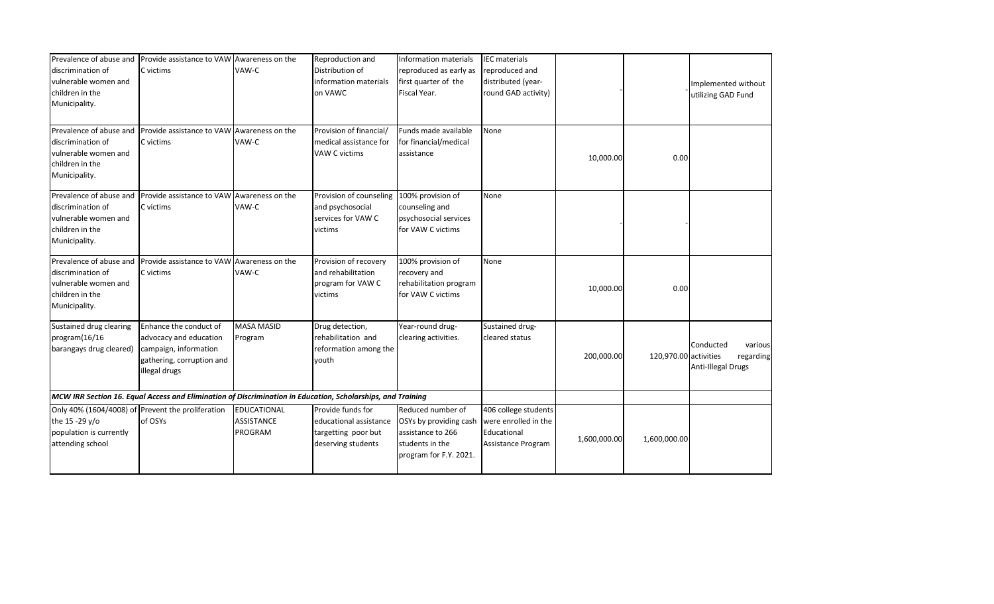| Prevalence of abuse and<br>discrimination of<br>vulnerable women and<br>children in the<br>Municipality. | Provide assistance to VAW Awareness on the<br>C victims                                                                 | VAW-C                                                     | Reproduction and<br>Distribution of<br>information materials<br>on VAWC                  | Information materials<br>reproduced as early as<br>first quarter of the<br>Fiscal Year.                       | <b>IEC</b> materials<br>reproduced and<br>distributed (year-<br>round GAD activity) |              |                       | Implemented without<br>utilizing GAD Fund               |
|----------------------------------------------------------------------------------------------------------|-------------------------------------------------------------------------------------------------------------------------|-----------------------------------------------------------|------------------------------------------------------------------------------------------|---------------------------------------------------------------------------------------------------------------|-------------------------------------------------------------------------------------|--------------|-----------------------|---------------------------------------------------------|
| Prevalence of abuse and<br>discrimination of<br>vulnerable women and<br>children in the<br>Municipality. | Provide assistance to VAW Awareness on the<br>C victims                                                                 | VAW-C                                                     | Provision of financial/<br>medical assistance for<br>VAW C victims                       | Funds made available<br>for financial/medical<br>assistance                                                   | None                                                                                | 10,000.00    | 0.00                  |                                                         |
| Prevalence of abuse and<br>discrimination of<br>vulnerable women and<br>children in the<br>Municipality. | Provide assistance to VAW Awareness on the<br>C victims                                                                 | VAW-C                                                     | Provision of counseling<br>and psychosocial<br>services for VAW C<br>victims             | 100% provision of<br>counseling and<br>psychosocial services<br>for VAW C victims                             | None                                                                                |              |                       |                                                         |
| Prevalence of abuse and<br>discrimination of<br>vulnerable women and<br>children in the<br>Municipality. | Provide assistance to VAW Awareness on the<br>C victims                                                                 | VAW-C                                                     | Provision of recovery<br>and rehabilitation<br>program for VAW C<br>victims              | 100% provision of<br>recovery and<br>rehabilitation program<br>for VAW C victims                              | None                                                                                | 10,000.00    | 0.00                  |                                                         |
| Sustained drug clearing<br>program(16/16<br>barangays drug cleared)                                      | Enhance the conduct of<br>advocacy and education<br>campaign, information<br>gathering, corruption and<br>illegal drugs | <b>MASA MASID</b><br>Program                              | Drug detection,<br>rehabilitation and<br>reformation among the<br>youth                  | Year-round drug-<br>clearing activities.                                                                      | Sustained drug-<br>cleared status                                                   | 200,000.00   | 120,970.00 activities | Conducted<br>various<br>regarding<br>Anti-Illegal Drugs |
|                                                                                                          | MCW IRR Section 16. Equal Access and Elimination of Discrimination in Education, Scholarships, and Training             |                                                           |                                                                                          |                                                                                                               |                                                                                     |              |                       |                                                         |
| the 15 -29 y/o<br>population is currently<br>attending school                                            | Only 40% (1604/4008) of Prevent the proliferation<br>of OSYs                                                            | <b>EDUCATIONAL</b><br><b>ASSISTANCE</b><br><b>PROGRAM</b> | Provide funds for<br>educational assistance<br>targetting poor but<br>deserving students | Reduced number of<br>OSYs by providing cash<br>assistance to 266<br>students in the<br>program for F.Y. 2021. | 406 college students<br>were enrolled in the<br>Educational<br>Assistance Program   | 1,600,000.00 | 1,600,000.00          |                                                         |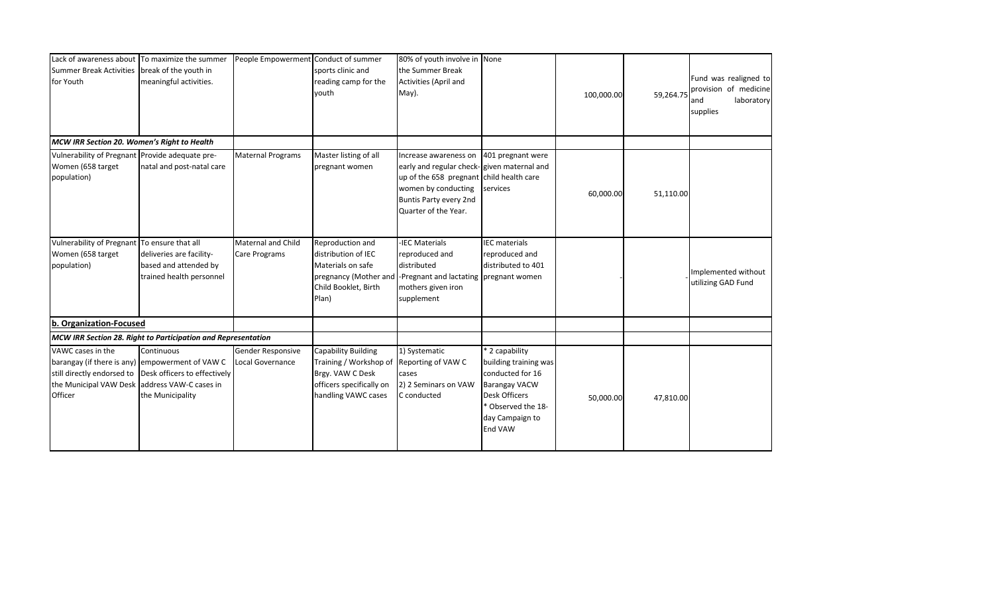| <b>Summer Break Activities</b><br>for Youth                                                                 | Lack of awareness about To maximize the summer<br>break of the youth in<br>meaningful activities.                 | People Empowerment Conduct of summer       | sports clinic and<br>reading camp for the<br>vouth                                                                          | 80% of youth involve in None<br>the Summer Break<br>Activities (April and<br>May).                                                                                                                         |                                                                                                                                                                 | 100,000.00 | 59,264.75 | Fund was realigned to<br>provision of medicine<br>laboratory<br>and<br>supplies |
|-------------------------------------------------------------------------------------------------------------|-------------------------------------------------------------------------------------------------------------------|--------------------------------------------|-----------------------------------------------------------------------------------------------------------------------------|------------------------------------------------------------------------------------------------------------------------------------------------------------------------------------------------------------|-----------------------------------------------------------------------------------------------------------------------------------------------------------------|------------|-----------|---------------------------------------------------------------------------------|
| MCW IRR Section 20. Women's Right to Health                                                                 |                                                                                                                   |                                            |                                                                                                                             |                                                                                                                                                                                                            |                                                                                                                                                                 |            |           |                                                                                 |
| Vulnerability of Pregnant Provide adequate pre-<br>Women (658 target<br>population)                         | natal and post-natal care                                                                                         | <b>Maternal Programs</b>                   | Master listing of all<br>pregnant women                                                                                     | Increase awareness on 401 pregnant were<br>early and regular check-given maternal and<br>up of the 658 pregnant child health care<br>women by conducting<br>Buntis Party every 2nd<br>Quarter of the Year. | services                                                                                                                                                        | 60,000.00  | 51,110.00 |                                                                                 |
| <b>Vulnerability of Pregnant</b><br>Women (658 target<br>population)                                        | To ensure that all<br>deliveries are facility-<br>based and attended by<br>trained health personnel               | Maternal and Child<br><b>Care Programs</b> | Reproduction and<br>distribution of IEC<br>Materials on safe<br>pregnancy (Mother and<br>Child Booklet, Birth<br>Plan)      | -IEC Materials<br>reproduced and<br>distributed<br>-Pregnant and lactating pregnant women<br>mothers given iron<br>supplement                                                                              | <b>IEC</b> materials<br>reproduced and<br>distributed to 401                                                                                                    |            |           | Implemented without<br>utilizing GAD Fund                                       |
| b. Organization-Focused                                                                                     |                                                                                                                   |                                            |                                                                                                                             |                                                                                                                                                                                                            |                                                                                                                                                                 |            |           |                                                                                 |
|                                                                                                             | MCW IRR Section 28. Right to Participation and Representation                                                     |                                            |                                                                                                                             |                                                                                                                                                                                                            |                                                                                                                                                                 |            |           |                                                                                 |
| VAWC cases in the<br>still directly endorsed to<br>the Municipal VAW Desk address VAW-C cases in<br>Officer | Continuous<br>barangay (if there is any) empowerment of VAW C<br>Desk officers to effectively<br>the Municipality | Gender Responsive<br>Local Governance      | <b>Capability Building</b><br>Training / Workshop of<br>Brgy. VAW C Desk<br>officers specifically on<br>handling VAWC cases | 1) Systematic<br>Reporting of VAW C<br>cases<br>2) 2 Seminars on VAW<br>C conducted                                                                                                                        | * 2 capability<br>building training was<br>conducted for 16<br><b>Barangay VACW</b><br><b>Desk Officers</b><br>* Observed the 18-<br>day Campaign to<br>End VAW | 50,000.00  | 47,810.00 |                                                                                 |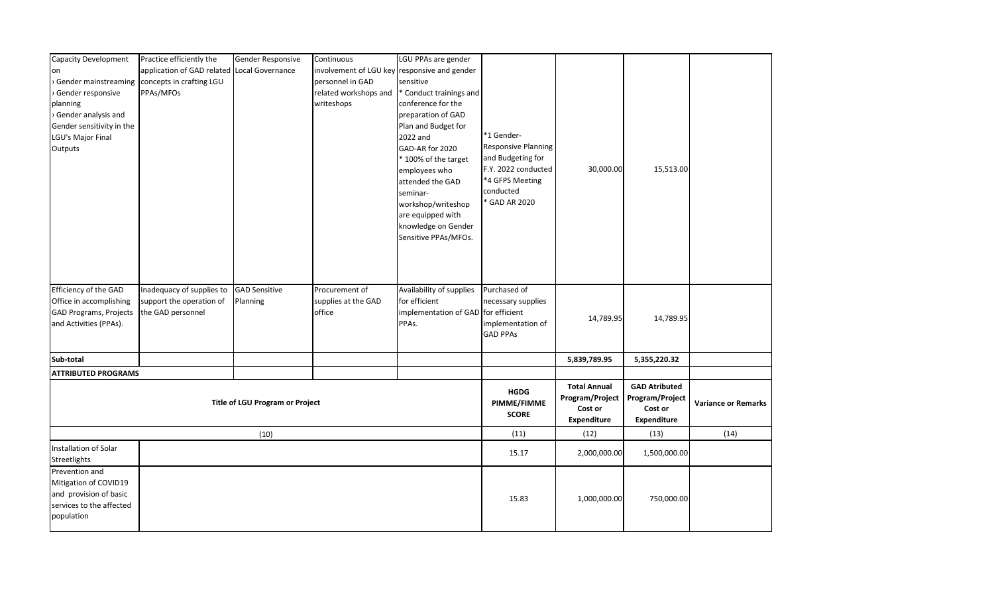| application of GAD related<br>Local Governance<br>involvement of LGU key responsive and gender<br><b>on</b><br>Gender mainstreaming concepts in crafting LGU<br>personnel in GAD<br>sensitive<br>PPAs/MFOs<br>related workshops and<br>Gender responsive<br>* Conduct trainings and<br>writeshops<br>planning<br>conference for the<br>> Gender analysis and<br>preparation of GAD<br>Plan and Budget for<br>Gender sensitivity in the<br>*1 Gender-<br>LGU's Major Final<br>2022 and<br><b>Responsive Planning</b><br>GAD-AR for 2020<br>Outputs<br>and Budgeting for<br>* 100% of the target |
|------------------------------------------------------------------------------------------------------------------------------------------------------------------------------------------------------------------------------------------------------------------------------------------------------------------------------------------------------------------------------------------------------------------------------------------------------------------------------------------------------------------------------------------------------------------------------------------------|
|                                                                                                                                                                                                                                                                                                                                                                                                                                                                                                                                                                                                |
|                                                                                                                                                                                                                                                                                                                                                                                                                                                                                                                                                                                                |
|                                                                                                                                                                                                                                                                                                                                                                                                                                                                                                                                                                                                |
|                                                                                                                                                                                                                                                                                                                                                                                                                                                                                                                                                                                                |
|                                                                                                                                                                                                                                                                                                                                                                                                                                                                                                                                                                                                |
|                                                                                                                                                                                                                                                                                                                                                                                                                                                                                                                                                                                                |
|                                                                                                                                                                                                                                                                                                                                                                                                                                                                                                                                                                                                |
|                                                                                                                                                                                                                                                                                                                                                                                                                                                                                                                                                                                                |
|                                                                                                                                                                                                                                                                                                                                                                                                                                                                                                                                                                                                |
| 15,513.00<br>F.Y. 2022 conducted<br>30,000.00<br>employees who                                                                                                                                                                                                                                                                                                                                                                                                                                                                                                                                 |
| *4 GFPS Meeting<br>attended the GAD                                                                                                                                                                                                                                                                                                                                                                                                                                                                                                                                                            |
| conducted<br>seminar-<br>* GAD AR 2020                                                                                                                                                                                                                                                                                                                                                                                                                                                                                                                                                         |
| workshop/writeshop                                                                                                                                                                                                                                                                                                                                                                                                                                                                                                                                                                             |
| are equipped with                                                                                                                                                                                                                                                                                                                                                                                                                                                                                                                                                                              |
| knowledge on Gender<br>Sensitive PPAs/MFOs.                                                                                                                                                                                                                                                                                                                                                                                                                                                                                                                                                    |
|                                                                                                                                                                                                                                                                                                                                                                                                                                                                                                                                                                                                |
|                                                                                                                                                                                                                                                                                                                                                                                                                                                                                                                                                                                                |
|                                                                                                                                                                                                                                                                                                                                                                                                                                                                                                                                                                                                |
|                                                                                                                                                                                                                                                                                                                                                                                                                                                                                                                                                                                                |
| Efficiency of the GAD<br>Inadequacy of supplies to<br><b>GAD Sensitive</b><br>Availability of supplies<br>Purchased of<br>Procurement of                                                                                                                                                                                                                                                                                                                                                                                                                                                       |
| for efficient<br>support the operation of<br>Office in accomplishing<br>Planning<br>supplies at the GAD<br>necessary supplies                                                                                                                                                                                                                                                                                                                                                                                                                                                                  |
| <b>GAD Programs, Projects</b><br>implementation of GAD for efficient<br>the GAD personnel<br>office<br>14,789.95<br>14,789.95                                                                                                                                                                                                                                                                                                                                                                                                                                                                  |
| PPAs.<br>and Activities (PPAs).<br>implementation of                                                                                                                                                                                                                                                                                                                                                                                                                                                                                                                                           |
| <b>GAD PPAs</b>                                                                                                                                                                                                                                                                                                                                                                                                                                                                                                                                                                                |
| 5,839,789.95<br>5,355,220.32<br>Sub-total                                                                                                                                                                                                                                                                                                                                                                                                                                                                                                                                                      |
|                                                                                                                                                                                                                                                                                                                                                                                                                                                                                                                                                                                                |
| <b>ATTRIBUTED PROGRAMS</b>                                                                                                                                                                                                                                                                                                                                                                                                                                                                                                                                                                     |
| <b>Total Annual</b><br><b>GAD Atributed</b><br><b>HGDG</b>                                                                                                                                                                                                                                                                                                                                                                                                                                                                                                                                     |
| Program/Project<br>Program/Project<br>PIMME/FIMME<br><b>Title of LGU Program or Project</b><br><b>Variance or Remarks</b>                                                                                                                                                                                                                                                                                                                                                                                                                                                                      |
| Cost or<br>Cost or<br><b>SCORE</b><br>Expenditure<br>Expenditure                                                                                                                                                                                                                                                                                                                                                                                                                                                                                                                               |
| (12)<br>(13)<br>(14)<br>(11)                                                                                                                                                                                                                                                                                                                                                                                                                                                                                                                                                                   |
| (10)                                                                                                                                                                                                                                                                                                                                                                                                                                                                                                                                                                                           |
| Installation of Solar<br>15.17<br>1,500,000.00<br>2,000,000.00                                                                                                                                                                                                                                                                                                                                                                                                                                                                                                                                 |
| Streetlights                                                                                                                                                                                                                                                                                                                                                                                                                                                                                                                                                                                   |
| Prevention and                                                                                                                                                                                                                                                                                                                                                                                                                                                                                                                                                                                 |
| Mitigation of COVID19                                                                                                                                                                                                                                                                                                                                                                                                                                                                                                                                                                          |
| and provision of basic<br>15.83<br>1,000,000.00<br>750,000.00                                                                                                                                                                                                                                                                                                                                                                                                                                                                                                                                  |
| services to the affected                                                                                                                                                                                                                                                                                                                                                                                                                                                                                                                                                                       |
| population                                                                                                                                                                                                                                                                                                                                                                                                                                                                                                                                                                                     |